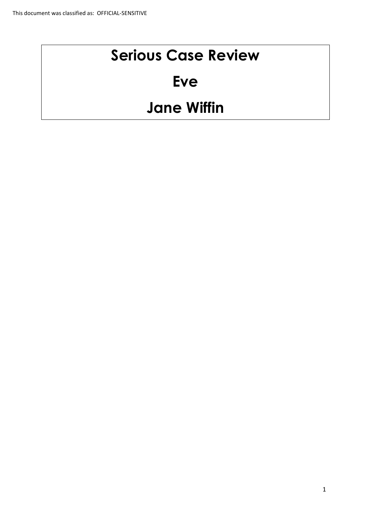# **Serious Case Review**

# **Eve**

# **Jane Wiffin**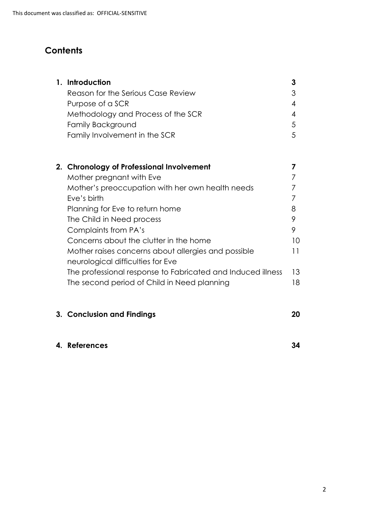## **Contents**

|  | 1. Introduction                                     | 3  |
|--|-----------------------------------------------------|----|
|  | Reason for the Serious Case Review                  | 3  |
|  | Purpose of a SCR                                    | 4  |
|  | Methodology and Process of the SCR                  | 4  |
|  | <b>Family Background</b>                            | 5  |
|  | Family Involvement in the SCR                       | 5  |
|  |                                                     |    |
|  | 2. Chronology of Professional Involvement           |    |
|  | Mother pregnant with Eve                            |    |
|  | Mother's preoccupation with her own health needs    |    |
|  | Eve's birth                                         |    |
|  | Planning for Eve to return home                     | 8  |
|  | The Child in Need process                           | 9  |
|  | Complaints from PA's                                | 9  |
|  | Concerns about the clutter in the home              | 10 |
|  | Mother raises concerns about allergies and possible | 11 |
|  | neurological difficulties for Eve                   |    |

| <u>HOOLOIQICAL AIMICOMOS TOL EYO</u>                        |     |
|-------------------------------------------------------------|-----|
| The professional response to Fabricated and Induced illness | 13  |
| The second period of Child in Need planning                 | 18. |

## **3. Conclusion and Findings 20**

#### **4. References 34**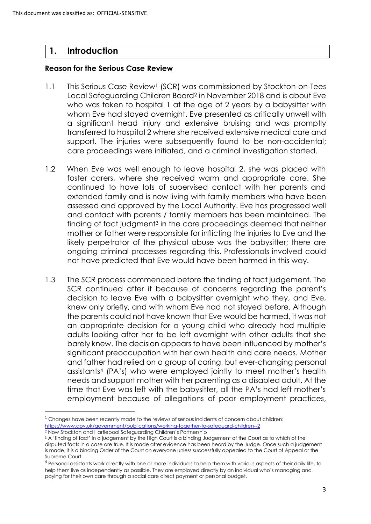## **1. Introduction**

**.** 

#### **Reason for the Serious Case Review**

- 1.1 This Serious Case Review<sup>1</sup> (SCR) was commissioned by Stockton-on-Tees Local Safeguarding Children Board<sup>2</sup> in November 2018 and is about Eve who was taken to hospital 1 at the age of 2 years by a babysitter with whom Eve had stayed overnight. Eve presented as critically unwell with a significant head injury and extensive bruising and was promptly transferred to hospital 2 where she received extensive medical care and support. The injuries were subsequently found to be non-accidental; care proceedings were initiated, and a criminal investigation started.
- 1.2 When Eve was well enough to leave hospital 2, she was placed with foster carers, where she received warm and appropriate care. She continued to have lots of supervised contact with her parents and extended family and is now living with family members who have been assessed and approved by the Local Authority. Eve has progressed well and contact with parents / family members has been maintained. The finding of fact judgment<sup>3</sup> in the care proceedings deemed that neither mother or father were responsible for inflicting the injuries to Eve and the likely perpetrator of the physical abuse was the babysitter; there are ongoing criminal processes regarding this. Professionals involved could not have predicted that Eve would have been harmed in this way.
- 1.3 The SCR process commenced before the finding of fact judgement. The SCR continued after it because of concerns regarding the parent's decision to leave Eve with a babysitter overnight who they, and Eve, knew only briefly, and with whom Eve had not stayed before. Although the parents could not have known that Eve would be harmed, it was not an appropriate decision for a young child who already had multiple adults looking after her to be left overnight with other adults that she barely knew. The decision appears to have been influenced by mother's significant preoccupation with her own health and care needs. Mother and father had relied on a group of caring, but ever-changing personal assistants<sup>4</sup> (PA's) who were employed jointly to meet mother's health needs and support mother with her parenting as a disabled adult. At the time that Eve was left with the babysitter, all the PA's had left mother's employment because of allegations of poor employment practices,

<sup>&</sup>lt;sup>1</sup> Changes have been recently made to the reviews of serious incidents of concern about children: <https://www.gov.uk/government/publications/working-together-to-safeguard-children--2> <sup>2</sup> Now Stockton and Hartlepool Safeguarding Children's Partnership

<sup>3</sup> A 'finding of fact' in a judgement by the High Court is a binding Judgement of the Court as to which of the disputed facts in a case are true. It is made after evidence has been heard by the Judge. Once such a judgement is made, it is a binding Order of the Court on everyone unless successfully appealed to the Court of Appeal or the Supreme Court

<sup>4</sup> Personal assistants work directly with one or more individuals to help them with various aspects of their daily life, to help them live as independently as possible. They are employed directly by an individual who's managing and paying for their own care through a social care direct payment or personal budget.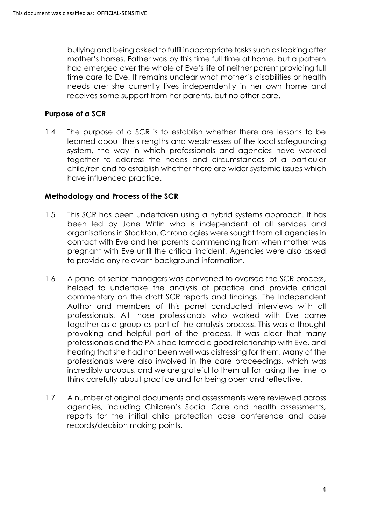bullying and being asked to fulfil inappropriate tasks such as looking after mother's horses. Father was by this time full time at home, but a pattern had emerged over the whole of Eve's life of neither parent providing full time care to Eve. It remains unclear what mother's disabilities or health needs are; she currently lives independently in her own home and receives some support from her parents, but no other care.

### **Purpose of a SCR**

1.4 The purpose of a SCR is to establish whether there are lessons to be learned about the strengths and weaknesses of the local safeguarding system, the way in which professionals and agencies have worked together to address the needs and circumstances of a particular child/ren and to establish whether there are wider systemic issues which have influenced practice.

### **Methodology and Process of the SCR**

- 1.5 This SCR has been undertaken using a hybrid systems approach. It has been led by Jane Wiffin who is independent of all services and organisations in Stockton. Chronologies were sought from all agencies in contact with Eve and her parents commencing from when mother was pregnant with Eve until the critical incident. Agencies were also asked to provide any relevant background information.
- 1.6 A panel of senior managers was convened to oversee the SCR process, helped to undertake the analysis of practice and provide critical commentary on the draft SCR reports and findings. The Independent Author and members of this panel conducted interviews with all professionals. All those professionals who worked with Eve came together as a group as part of the analysis process. This was a thought provoking and helpful part of the process. It was clear that many professionals and the PA's had formed a good relationship with Eve, and hearing that she had not been well was distressing for them. Many of the professionals were also involved in the care proceedings, which was incredibly arduous, and we are grateful to them all for taking the time to think carefully about practice and for being open and reflective.
- 1.7 A number of original documents and assessments were reviewed across agencies, including Children's Social Care and health assessments, reports for the initial child protection case conference and case records/decision making points.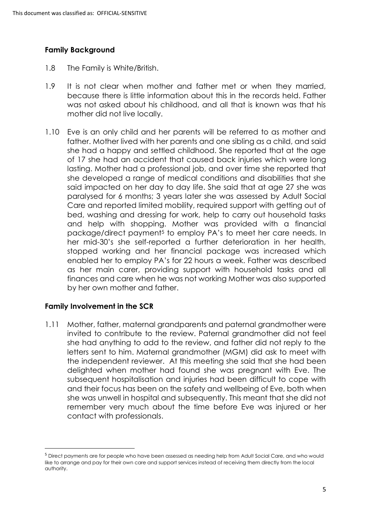#### **Family Background**

- 1.8 The Family is White/British.
- 1.9 It is not clear when mother and father met or when they married, because there is little information about this in the records held. Father was not asked about his childhood, and all that is known was that his mother did not live locally.
- 1.10 Eve is an only child and her parents will be referred to as mother and father. Mother lived with her parents and one sibling as a child, and said she had a happy and settled childhood. She reported that at the age of 17 she had an accident that caused back injuries which were long lasting. Mother had a professional job, and over time she reported that she developed a range of medical conditions and disabilities that she said impacted on her day to day life. She said that at age 27 she was paralysed for 6 months; 3 years later she was assessed by Adult Social Care and reported limited mobility, required support with getting out of bed, washing and dressing for work, help to carry out household tasks and help with shopping. Mother was provided with a financial package/direct payment<sup>5</sup> to employ PA's to meet her care needs. In her mid-30's she self-reported a further deterioration in her health, stopped working and her financial package was increased which enabled her to employ PA's for 22 hours a week. Father was described as her main carer, providing support with household tasks and all finances and care when he was not working Mother was also supported by her own mother and father.

### **Family Involvement in the SCR**

**.** 

1.11 Mother, father, maternal grandparents and paternal grandmother were invited to contribute to the review. Paternal grandmother did not feel she had anything to add to the review, and father did not reply to the letters sent to him. Maternal grandmother (MGM) did ask to meet with the independent reviewer. At this meeting she said that she had been delighted when mother had found she was pregnant with Eve. The subsequent hospitalisation and injuries had been difficult to cope with and their focus has been on the safety and wellbeing of Eve, both when she was unwell in hospital and subsequently. This meant that she did not remember very much about the time before Eve was injured or her contact with professionals.

<sup>5</sup> Direct payments are for people who have been assessed as needing help from Adult Social Care, and who would like to arrange and pay for their own care and support services instead of receiving them directly from the local authority.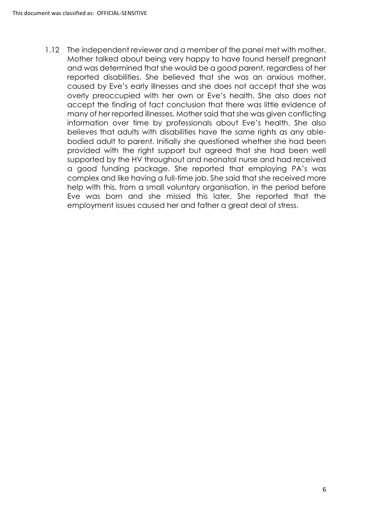1.12 The independent reviewer and a member of the panel met with mother. Mother talked about being very happy to have found herself pregnant and was determined that she would be a good parent, regardless of her reported disabilities. She believed that she was an anxious mother, caused by Eve's early illnesses and she does not accept that she was overly preoccupied with her own or Eve's health. She also does not accept the finding of fact conclusion that there was little evidence of many of her reported illnesses. Mother said that she was given conflicting information over time by professionals about Eve's health. She also believes that adults with disabilities have the same rights as any ablebodied adult to parent. Initially she questioned whether she had been provided with the right support but agreed that she had been well supported by the HV throughout and neonatal nurse and had received a good funding package. She reported that employing PA's was complex and like having a full-time job. She said that she received more help with this, from a small voluntary organisation, in the period before Eve was born and she missed this later. She reported that the employment issues caused her and father a great deal of stress.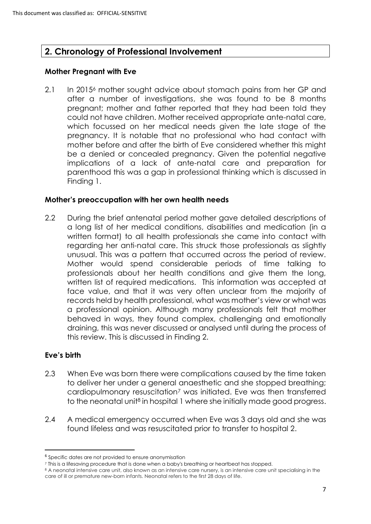## **2. Chronology of Professional Involvement**

#### **Mother Pregnant with Eve**

2.1 In 2015<sup>6</sup> mother sought advice about stomach pains from her GP and after a number of investigations, she was found to be 8 months pregnant; mother and father reported that they had been told they could not have children. Mother received appropriate ante-natal care, which focussed on her medical needs given the late stage of the pregnancy. It is notable that no professional who had contact with mother before and after the birth of Eve considered whether this might be a denied or concealed pregnancy. Given the potential negative implications of a lack of ante-natal care and preparation for parenthood this was a gap in professional thinking which is discussed in Finding 1.

#### **Mother's preoccupation with her own health needs**

2.2 During the brief antenatal period mother gave detailed descriptions of a long list of her medical conditions, disabilities and medication (in a written format) to all health professionals she came into contact with regarding her anti-natal care. This struck those professionals as slightly unusual. This was a pattern that occurred across the period of review. Mother would spend considerable periods of time talking to professionals about her health conditions and give them the long, written list of required medications. This information was accepted at face value, and that it was very often unclear from the majority of records held by health professional, what was mother's view or what was a professional opinion. Although many professionals felt that mother behaved in ways, they found complex, challenging and emotionally draining, this was never discussed or analysed until during the process of this review. This is discussed in Finding 2.

### **Eve's birth**

1

- 2.3 When Eve was born there were complications caused by the time taken to deliver her under a general anaesthetic and she stopped breathing; cardiopulmonary resuscitation<sup>7</sup> was initiated. Eve was then transferred to the neonatal unit<sup>8</sup> in hospital 1 where she initially made good progress.
- 2.4 A medical emergency occurred when Eve was 3 days old and she was found lifeless and was resuscitated prior to transfer to hospital 2.

<sup>&</sup>lt;sup>6</sup> Specific dates are not provided to ensure anonymisation

<sup>7</sup> This is a lifesaving procedure that is done when a baby's breathing or heartbeat has stopped.

<sup>8</sup> A neonatal intensive care unit, also known as an intensive care nursery, is an intensive care unit specialising in the care of ill or premature new-born infants. Neonatal refers to the first 28 days of life.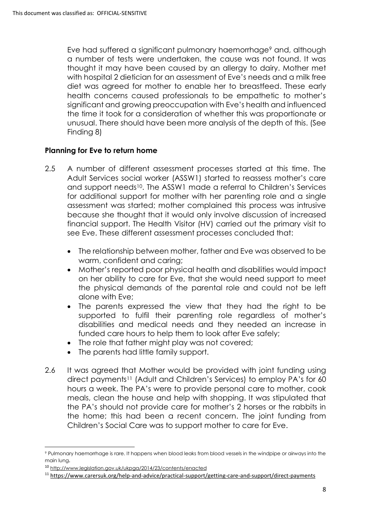Eve had suffered a significant pulmonary haemorrhage<sup>9</sup> and, although a number of tests were undertaken, the cause was not found. It was thought it may have been caused by an allergy to dairy. Mother met with hospital 2 dietician for an assessment of Eve's needs and a milk free diet was agreed for mother to enable her to breastfeed. These early health concerns caused professionals to be empathetic to mother's significant and growing preoccupation with Eve's health and influenced the time it took for a consideration of whether this was proportionate or unusual. There should have been more analysis of the depth of this. (See Finding 8)

### **Planning for Eve to return home**

- 2.5 A number of different assessment processes started at this time. The Adult Services social worker (ASSW1) started to reassess mother's care and support needs10. The ASSW1 made a referral to Children's Services for additional support for mother with her parenting role and a single assessment was started; mother complained this process was intrusive because she thought that it would only involve discussion of increased financial support. The Health Visitor (HV) carried out the primary visit to see Eve. These different assessment processes concluded that:
	- The relationship between mother, father and Eve was observed to be warm, confident and caring;
	- Mother's reported poor physical health and disabilities would impact on her ability to care for Eve, that she would need support to meet the physical demands of the parental role and could not be left alone with Eve;
	- The parents expressed the view that they had the right to be supported to fulfil their parenting role regardless of mother's disabilities and medical needs and they needed an increase in funded care hours to help them to look after Eve safely;
	- The role that father might play was not covered;
	- The parents had little family support.
- 2.6 It was agreed that Mother would be provided with joint funding using direct payments<sup>11</sup> (Adult and Children's Services) to employ PA's for 60 hours a week. The PA's were to provide personal care to mother, cook meals, clean the house and help with shopping. It was stipulated that the PA's should not provide care for mother's 2 horses or the rabbits in the home; this had been a recent concern. The joint funding from Children's Social Care was to support mother to care for Eve.

 $\overline{a}$ <sup>9</sup> Pulmonary haemorrhage is rare. It happens when blood leaks from blood vessels in the windpipe or airways into the main lung.

<sup>10</sup> <http://www.legislation.gov.uk/ukpga/2014/23/contents/enacted>

<sup>11</sup> <https://www.carersuk.org/help-and-advice/practical-support/getting-care-and-support/direct-payments>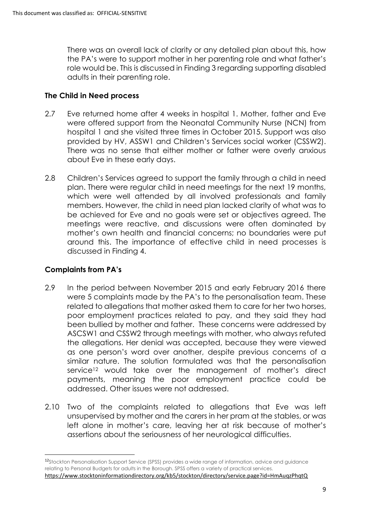There was an overall lack of clarity or any detailed plan about this, how the PA's were to support mother in her parenting role and what father's role would be. This is discussed in Finding 3 regarding supporting disabled adults in their parenting role.

#### **The Child in Need process**

- 2.7 Eve returned home after 4 weeks in hospital 1. Mother, father and Eve were offered support from the Neonatal Community Nurse (NCN) from hospital 1 and she visited three times in October 2015. Support was also provided by HV, ASSW1 and Children's Services social worker (CSSW2). There was no sense that either mother or father were overly anxious about Eve in these early days.
- 2.8 Children's Services agreed to support the family through a child in need plan. There were regular child in need meetings for the next 19 months, which were well attended by all involved professionals and family members. However, the child in need plan lacked clarity of what was to be achieved for Eve and no goals were set or objectives agreed. The meetings were reactive, and discussions were often dominated by mother's own health and financial concerns; no boundaries were put around this. The importance of effective child in need processes is discussed in Finding 4.

### **Complaints from PA's**

1

- 2.9 In the period between November 2015 and early February 2016 there were 5 complaints made by the PA's to the personalisation team. These related to allegations that mother asked them to care for her two horses, poor employment practices related to pay, and they said they had been bullied by mother and father. These concerns were addressed by ASCSW1 and CSSW2 through meetings with mother, who always refuted the allegations. Her denial was accepted, because they were viewed as one person's word over another, despite previous concerns of a similar nature. The solution formulated was that the personalisation service<sup>12</sup> would take over the management of mother's direct payments, meaning the poor employment practice could be addressed. Other issues were not addressed.
- 2.10 Two of the complaints related to allegations that Eve was left unsupervised by mother and the carers in her pram at the stables, or was left alone in mother's care, leaving her at risk because of mother's assertions about the seriousness of her neurological difficulties.

<sup>&</sup>lt;sup>12</sup>Stockton Personalisation Support Service (SPSS) provides a wide range of information, advice and guidance relating to Personal Budgets for adults in the Borough. SPSS offers a variety of practical services. <https://www.stocktoninformationdirectory.org/kb5/stockton/directory/service.page?id=HmAuqzPhqtQ>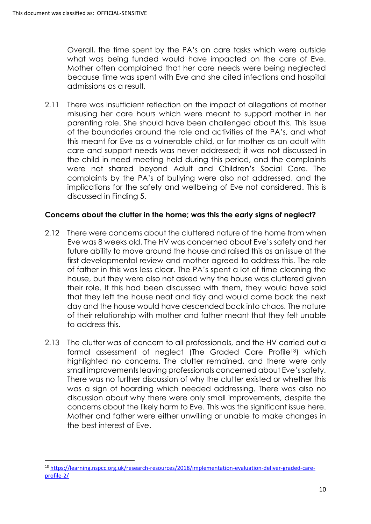1

Overall, the time spent by the PA's on care tasks which were outside what was being funded would have impacted on the care of Eve. Mother often complained that her care needs were being neglected because time was spent with Eve and she cited infections and hospital admissions as a result.

2.11 There was insufficient reflection on the impact of allegations of mother misusing her care hours which were meant to support mother in her parenting role. She should have been challenged about this. This issue of the boundaries around the role and activities of the PA's, and what this meant for Eve as a vulnerable child, or for mother as an adult with care and support needs was never addressed; it was not discussed in the child in need meeting held during this period, and the complaints were not shared beyond Adult and Children's Social Care. The complaints by the PA's of bullying were also not addressed, and the implications for the safety and wellbeing of Eve not considered. This is discussed in Finding 5.

## **Concerns about the clutter in the home; was this the early signs of neglect?**

- 2.12 There were concerns about the cluttered nature of the home from when Eve was 8 weeks old. The HV was concerned about Eve's safety and her future ability to move around the house and raised this as an issue at the first developmental review and mother agreed to address this. The role of father in this was less clear. The PA's spent a lot of time cleaning the house, but they were also not asked why the house was cluttered given their role. If this had been discussed with them, they would have said that they left the house neat and tidy and would come back the next day and the house would have descended back into chaos. The nature of their relationship with mother and father meant that they felt unable to address this.
- 2.13 The clutter was of concern to all professionals, and the HV carried out a formal assessment of neglect (The Graded Care Profile13) which highlighted no concerns. The clutter remained, and there were only small improvements leaving professionals concerned about Eve's safety. There was no further discussion of why the clutter existed or whether this was a sign of hoarding which needed addressing. There was also no discussion about why there were only small improvements, despite the concerns about the likely harm to Eve. This was the significant issue here. Mother and father were either unwilling or unable to make changes in the best interest of Eve.

<sup>13</sup> [https://learning.nspcc.org.uk/research-resources/2018/implementation-evaluation-deliver-graded-care](https://learning.nspcc.org.uk/research-resources/2018/implementation-evaluation-deliver-graded-care-profile-2/)[profile-2/](https://learning.nspcc.org.uk/research-resources/2018/implementation-evaluation-deliver-graded-care-profile-2/)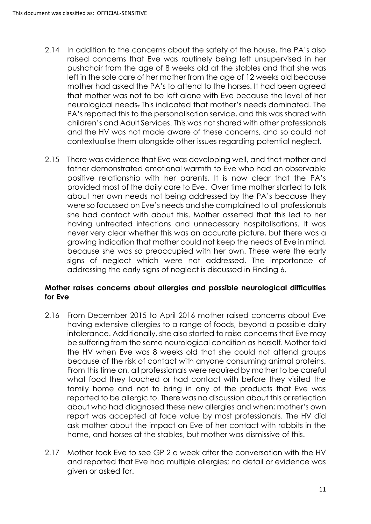- 2.14 In addition to the concerns about the safety of the house, the PA's also raised concerns that Eve was routinely being left unsupervised in her pushchair from the age of 8 weeks old at the stables and that she was left in the sole care of her mother from the age of 12 weeks old because mother had asked the PA's to attend to the horses. It had been agreed that mother was not to be left alone with Eve because the level of her neurological needs. This indicated that mother's needs dominated. The PA's reported this to the personalisation service, and this was shared with children's and Adult Services. This was not shared with other professionals and the HV was not made aware of these concerns, and so could not contextualise them alongside other issues regarding potential neglect.
- 2.15 There was evidence that Eve was developing well, and that mother and father demonstrated emotional warmth to Eve who had an observable positive relationship with her parents. It is now clear that the PA's provided most of the daily care to Eve. Over time mother started to talk about her own needs not being addressed by the PA's because they were so focussed on Eve's needs and she complained to all professionals she had contact with about this. Mother asserted that this led to her having untreated infections and unnecessary hospitalisations. It was never very clear whether this was an accurate picture, but there was a growing indication that mother could not keep the needs of Eve in mind, because she was so preoccupied with her own. These were the early signs of neglect which were not addressed. The importance of addressing the early signs of neglect is discussed in Finding 6.

#### **Mother raises concerns about allergies and possible neurological difficulties for Eve**

- 2.16 From December 2015 to April 2016 mother raised concerns about Eve having extensive allergies to a range of foods, beyond a possible dairy intolerance. Additionally, she also started to raise concerns that Eve may be suffering from the same neurological condition as herself. Mother told the HV when Eve was 8 weeks old that she could not attend groups because of the risk of contact with anyone consuming animal proteins. From this time on, all professionals were required by mother to be careful what food they touched or had contact with before they visited the family home and not to bring in any of the products that Eve was reported to be allergic to. There was no discussion about this or reflection about who had diagnosed these new allergies and when; mother's own report was accepted at face value by most professionals. The HV did ask mother about the impact on Eve of her contact with rabbits in the home, and horses at the stables, but mother was dismissive of this.
- 2.17 Mother took Eve to see GP 2 a week after the conversation with the HV and reported that Eve had multiple allergies; no detail or evidence was given or asked for.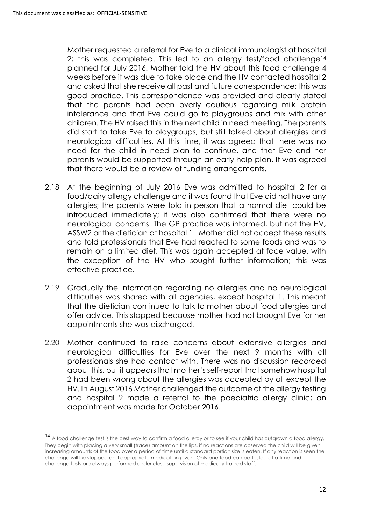**.** 

Mother requested a referral for Eve to a clinical immunologist at hospital 2; this was completed. This led to an alleray test/food challenge<sup>14</sup> planned for July 2016. Mother told the HV about this food challenge 4 weeks before it was due to take place and the HV contacted hospital 2 and asked that she receive all past and future correspondence; this was good practice. This correspondence was provided and clearly stated that the parents had been overly cautious regarding milk protein intolerance and that Eve could go to playgroups and mix with other children. The HV raised this in the next child in need meeting. The parents did start to take Eve to playgroups, but still talked about allergies and neurological difficulties. At this time, it was agreed that there was no need for the child in need plan to continue, and that Eve and her parents would be supported through an early help plan. It was agreed that there would be a review of funding arrangements.

- 2.18 At the beginning of July 2016 Eve was admitted to hospital 2 for a food/dairy allergy challenge and it was found that Eve did not have any allergies; the parents were told in person that a normal diet could be introduced immediately; it was also confirmed that there were no neurological concerns. The GP practice was informed, but not the HV, ASSW2 or the dietician at hospital 1. Mother did not accept these results and told professionals that Eve had reacted to some foods and was to remain on a limited diet. This was again accepted at face value, with the exception of the HV who sought further information; this was effective practice.
- 2.19 Gradually the information regarding no allergies and no neurological difficulties was shared with all agencies, except hospital 1. This meant that the dietician continued to talk to mother about food allergies and offer advice. This stopped because mother had not brought Eve for her appointments she was discharged.
- 2.20 Mother continued to raise concerns about extensive allergies and neurological difficulties for Eve over the next 9 months with all professionals she had contact with. There was no discussion recorded about this, but it appears that mother's self-report that somehow hospital 2 had been wrong about the allergies was accepted by all except the HV. In August 2016 Mother challenged the outcome of the allergy testing and hospital 2 made a referral to the paediatric allergy clinic; an appointment was made for October 2016.

<sup>&</sup>lt;sup>14</sup> A food challenge test is the best way to confirm a food allergy or to see if your child has outgrown a food allergy. They begin with placing a very small (trace) amount on the lips, if no reactions are observed the child will be given increasing amounts of the food over a period of time until a standard portion size is eaten. If any reaction is seen the challenge will be stopped and appropriate medication given. Only one food can be tested at a time and challenge tests are always performed under close supervision of medically trained staff.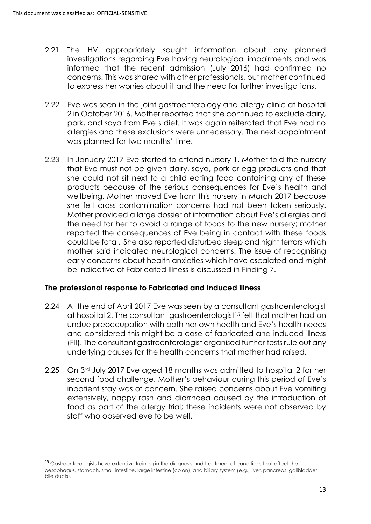**.** 

- 2.21 The HV appropriately sought information about any planned investigations regarding Eve having neurological impairments and was informed that the recent admission (July 2016) had confirmed no concerns. This was shared with other professionals, but mother continued to express her worries about it and the need for further investigations.
- 2.22 Eve was seen in the joint gastroenterology and allergy clinic at hospital 2 in October 2016. Mother reported that she continued to exclude dairy, pork, and soya from Eve's diet. It was again reiterated that Eve had no allergies and these exclusions were unnecessary. The next appointment was planned for two months' time.
- 2.23 In January 2017 Eve started to attend nursery 1. Mother told the nursery that Eve must not be given dairy, soya, pork or egg products and that she could not sit next to a child eating food containing any of these products because of the serious consequences for Eve's health and wellbeing. Mother moved Eve from this nursery in March 2017 because she felt cross contamination concerns had not been taken seriously. Mother provided a large dossier of information about Eve's allergies and the need for her to avoid a range of foods to the new nursery; mother reported the consequences of Eve being in contact with these foods could be fatal. She also reported disturbed sleep and night terrors which mother said indicated neurological concerns. The issue of recognising early concerns about health anxieties which have escalated and might be indicative of Fabricated Illness is discussed in Finding 7.

### **The professional response to Fabricated and Induced illness**

- 2.24 At the end of April 2017 Eve was seen by a consultant gastroenterologist at hospital 2. The consultant gastroenterologist<sup>15</sup> felt that mother had an undue preoccupation with both her own health and Eve's health needs and considered this might be a case of fabricated and induced illness (FII). The consultant gastroenterologist organised further tests rule out any underlying causes for the health concerns that mother had raised.
- 2.25 On 3rd July 2017 Eve aged 18 months was admitted to hospital 2 for her second food challenge. Mother's behaviour during this period of Eve's inpatient stay was of concern. She raised concerns about Eve vomiting extensively, nappy rash and diarrhoea caused by the introduction of food as part of the allergy trial; these incidents were not observed by staff who observed eve to be well.

<sup>&</sup>lt;sup>15</sup> Gastroenterologists have extensive training in the diagnosis and treatment of conditions that affect the oesophagus, stomach, small intestine, large intestine (colon), and biliary system (e.g., liver, pancreas, gallbladder, bile ducts).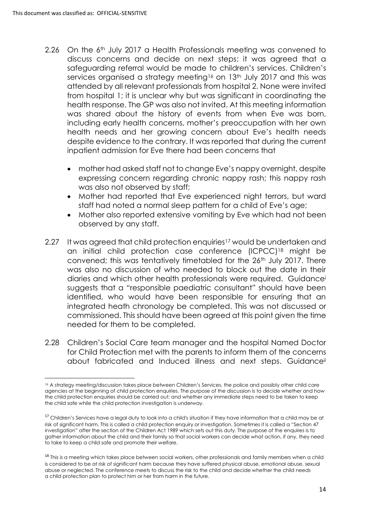- 2.26 On the 6<sup>th</sup> July 2017 a Health Professionals meeting was convened to discuss concerns and decide on next steps; it was agreed that a safeguarding referral would be made to children's services. Children's services organised a strategy meeting<sup>16</sup> on 13<sup>th</sup> July 2017 and this was attended by all relevant professionals from hospital 2. None were invited from hospital 1; it is unclear why but was significant in coordinating the health response. The GP was also not invited. At this meeting information was shared about the history of events from when Eve was born, including early health concerns, mother's preoccupation with her own health needs and her growing concern about Eve's health needs despite evidence to the contrary. It was reported that during the current inpatient admission for Eve there had been concerns that
	- mother had asked staff not to change Eve's nappy overnight, despite expressing concern regarding chronic nappy rash; this nappy rash was also not observed by staff;
	- Mother had reported that Eve experienced night terrors, but ward staff had noted a normal sleep pattern for a child of Eve's age;
	- Mother also reported extensive vomiting by Eve which had not been observed by any staff.
- 2.27 It was agreed that child protection enquiries<sup>17</sup> would be undertaken and an initial child protection case conference (ICPCC)<sup>18</sup> might be convened; this was tentatively timetabled for the 26<sup>th</sup> July 2017. There was also no discussion of who needed to block out the date in their diaries and which other health professionals were required. Guidance<sup>i</sup> suggests that a "responsible paediatric consultant" should have been identified, who would have been responsible for ensuring that an integrated heath chronology be completed. This was not discussed or commissioned. This should have been agreed at this point given the time needed for them to be completed.
- 2.28 Children's Social Care team manager and the hospital Named Doctor for Child Protection met with the parents to inform them of the concerns about fabricated and Induced illness and next steps. Guidanceii

<sup>1</sup> <sup>16</sup> A strategy meeting/discussion takes place between Children's Services, the police and possibly other child care agencies at the beginning of [child protection enquiries.](https://www.frg.org.uk/need-help-or-advice/an-a-z-of-terms#Childprotectionenquiriesinvestigations) The purpose of the discussion is to decide whether and how the child protection enquiries should be carried out; and whether any immediate steps need to be taken to keep the child safe while the child protection investigation is underway.

<sup>&</sup>lt;sup>17</sup> Children's Services have a legal duty to look into a child's situation if they have information that a child may be at risk of [significant harm](https://www.frg.org.uk/need-help-or-advice/an-a-z-of-terms#Significantharm). This is called a child protection enquiry or investigation. Sometimes it is called a "Section 47 investigation" after the section of the Children Act 1989 which sets out this duty. The purpose of the enquires is to gather information about the child and their family so that social workers can decide what action, if any, they need to take to keep a child safe and promote their welfare.

<sup>&</sup>lt;sup>18</sup> This is a meeting which takes place between social workers, other professionals and family members when a child is considered to be at risk of [significant harm](https://www.frg.org.uk/need-help-or-advice/an-a-z-of-terms#Significantharm) because they have suffered [physical abuse,](https://www.frg.org.uk/need-help-or-advice/an-a-z-of-terms#Physicalabuse) [emotional abuse,](https://www.frg.org.uk/need-help-or-advice/an-a-z-of-terms#Emotionalabuse) [sexual](https://www.frg.org.uk/need-help-or-advice/an-a-z-of-terms#Sexualabuse)  [abuse](https://www.frg.org.uk/need-help-or-advice/an-a-z-of-terms#Sexualabuse) or [neglected.](https://www.frg.org.uk/need-help-or-advice/an-a-z-of-terms#Neglect) The conference meets to discuss the risk to the child and decide whether the child needs a [child protection plan](https://www.frg.org.uk/need-help-or-advice/an-a-z-of-terms#Childprotectionplan) to protect him or her from harm in the future.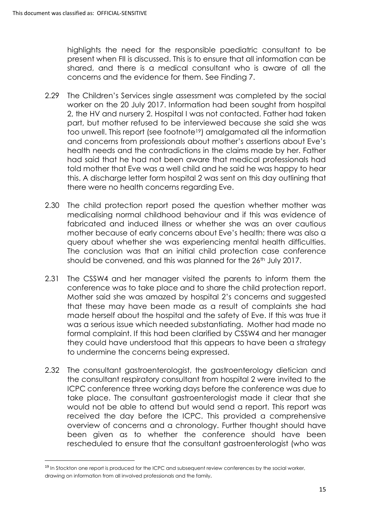1

highlights the need for the responsible paediatric consultant to be present when FII is discussed. This is to ensure that all information can be shared, and there is a medical consultant who is aware of all the concerns and the evidence for them. See Finding 7.

- 2.29 The Children's Services single assessment was completed by the social worker on the 20 July 2017. Information had been sought from hospital 2, the HV and nursery 2. Hospital I was not contacted. Father had taken part, but mother refused to be interviewed because she said she was too unwell. This report (see footnote19) amalgamated all the information and concerns from professionals about mother's assertions about Eve's health needs and the contradictions in the claims made by her. Father had said that he had not been aware that medical professionals had told mother that Eve was a well child and he said he was happy to hear this. A discharge letter form hospital 2 was sent on this day outlining that there were no health concerns regarding Eve.
- 2.30 The child protection report posed the question whether mother was medicalising normal childhood behaviour and if this was evidence of fabricated and induced illness or whether she was an over cautious mother because of early concerns about Eve's health; there was also a query about whether she was experiencing mental health difficulties. The conclusion was that an initial child protection case conference should be convened, and this was planned for the 26<sup>th</sup> July 2017.
- 2.31 The CSSW4 and her manager visited the parents to inform them the conference was to take place and to share the child protection report. Mother said she was amazed by hospital 2's concerns and suggested that these may have been made as a result of complaints she had made herself about the hospital and the safety of Eve. If this was true it was a serious issue which needed substantiating. Mother had made no formal complaint. If this had been clarified by CSSW4 and her manager they could have understood that this appears to have been a strategy to undermine the concerns being expressed.
- 2.32 The consultant gastroenterologist, the gastroenterology dietician and the consultant respiratory consultant from hospital 2 were invited to the ICPC conference three working days before the conference was due to take place. The consultant gastroenterologist made it clear that she would not be able to attend but would send a report. This report was received the day before the ICPC. This provided a comprehensive overview of concerns and a chronology. Further thought should have been given as to whether the conference should have been rescheduled to ensure that the consultant gastroenterologist (who was

<sup>&</sup>lt;sup>19</sup> In Stockton one report is produced for the ICPC and subsequent review conferences by the social worker, drawing on information from all involved professionals and the family.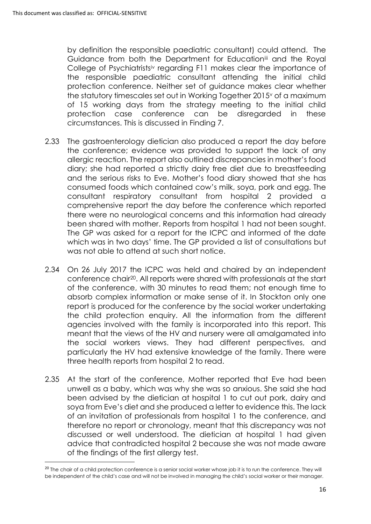$\overline{a}$ 

by definition the responsible paediatric consultant) could attend. The Guidance from both the Department for Education<sup>iii</sup> and the Royal College of Psychiatristsiv regarding F11 makes clear the importance of the responsible paediatric consultant attending the initial child protection conference. Neither set of guidance makes clear whether the statutory timescales set out in Working Together 2015<sup>v</sup> of a maximum of 15 working days from the strategy meeting to the initial child protection case conference can be disregarded in these circumstances. This is discussed in Finding 7.

- 2.33 The gastroenterology dietician also produced a report the day before the conference; evidence was provided to support the lack of any allergic reaction. The report also outlined discrepancies in mother's food diary; she had reported a strictly dairy free diet due to breastfeeding and the serious risks to Eve. Mother's food diary showed that she has consumed foods which contained cow's milk, soya, pork and egg. The consultant respiratory consultant from hospital 2 provided a comprehensive report the day before the conference which reported there were no neurological concerns and this information had already been shared with mother. Reports from hospital 1 had not been sought. The GP was asked for a report for the ICPC and informed of the date which was in two days' time. The GP provided a list of consultations but was not able to attend at such short notice.
- 2.34 On 26 July 2017 the ICPC was held and chaired by an independent conference chair20. All reports were shared with professionals at the start of the conference, with 30 minutes to read them; not enough time to absorb complex information or make sense of it. In Stockton only one report is produced for the conference by the social worker undertaking the child protection enquiry. All the information from the different agencies involved with the family is incorporated into this report. This meant that the views of the HV and nursery were all amalgamated into the social workers views. They had different perspectives, and particularly the HV had extensive knowledge of the family. There were three health reports from hospital 2 to read.
- 2.35 At the start of the conference, Mother reported that Eve had been unwell as a baby, which was why she was so anxious. She said she had been advised by the dietician at hospital 1 to cut out pork, dairy and soya from Eve's diet and she produced a letter to evidence this. The lack of an invitation of professionals from hospital 1 to the conference, and therefore no report or chronology, meant that this discrepancy was not discussed or well understood. The dietician at hospital 1 had given advice that contradicted hospital 2 because she was not made aware of the findings of the first allergy test.

<sup>&</sup>lt;sup>20</sup> The chair of a child protection conference is a senior social worker whose job it is to run the conference. They will be independent of the child's case and will not be involved in managing the child's [social worker](https://www.frg.org.uk/need-help-or-advice/an-a-z-of-terms#Socialworker) or their manager.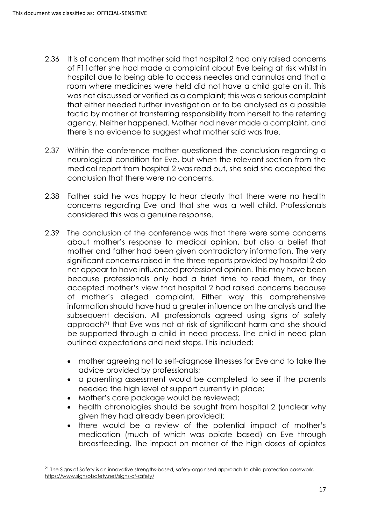- 2.36 It is of concern that mother said that hospital 2 had only raised concerns of F11after she had made a complaint about Eve being at risk whilst in hospital due to being able to access needles and cannulas and that a room where medicines were held did not have a child gate on it. This was not discussed or verified as a complaint; this was a serious complaint that either needed further investigation or to be analysed as a possible tactic by mother of transferring responsibility from herself to the referring agency. Neither happened. Mother had never made a complaint, and there is no evidence to suggest what mother said was true.
- 2.37 Within the conference mother questioned the conclusion regarding a neurological condition for Eve, but when the relevant section from the medical report from hospital 2 was read out, she said she accepted the conclusion that there were no concerns.
- 2.38 Father said he was happy to hear clearly that there were no health concerns regarding Eve and that she was a well child. Professionals considered this was a genuine response.
- 2.39 The conclusion of the conference was that there were some concerns about mother's response to medical opinion, but also a belief that mother and father had been given contradictory information. The very significant concerns raised in the three reports provided by hospital 2 do not appear to have influenced professional opinion. This may have been because professionals only had a brief time to read them, or they accepted mother's view that hospital 2 had raised concerns because of mother's alleged complaint. Either way this comprehensive information should have had a greater influence on the analysis and the subsequent decision. All professionals agreed using signs of safety approach<sup>21</sup> that Eve was not at risk of significant harm and she should be supported through a child in need process. The child in need plan outlined expectations and next steps. This included:
	- mother agreeing not to self-diagnose illnesses for Eve and to take the advice provided by professionals;
	- a parenting assessment would be completed to see if the parents needed the high level of support currently in place;
	- Mother's care package would be reviewed;

 $\overline{a}$ 

- health chronologies should be sought from hospital 2 (unclear why given they had already been provided);
- there would be a review of the potential impact of mother's medication (much of which was opiate based) on Eve through breastfeeding. The impact on mother of the high doses of opiates

<sup>&</sup>lt;sup>21</sup> The Signs of Safety is an innovative strengths-based, safety-organised approach to child protection casework. <https://www.signsofsafety.net/signs-of-safety/>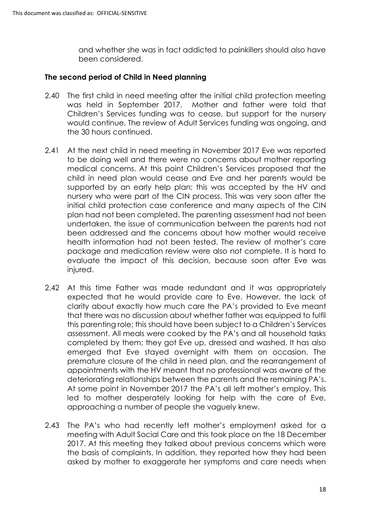and whether she was in fact addicted to painkillers should also have been considered.

#### **The second period of Child in Need planning**

- 2.40 The first child in need meeting after the initial child protection meeting was held in September 2017. Mother and father were told that Children's Services funding was to cease, but support for the nursery would continue. The review of Adult Services funding was ongoing, and the 30 hours continued.
- 2.41 At the next child in need meeting in November 2017 Eve was reported to be doing well and there were no concerns about mother reporting medical concerns. At this point Children's Services proposed that the child in need plan would cease and Eve and her parents would be supported by an early help plan; this was accepted by the HV and nursery who were part of the CIN process. This was very soon after the initial child protection case conference and many aspects of the CIN plan had not been completed. The parenting assessment had not been undertaken, the issue of communication between the parents had not been addressed and the concerns about how mother would receive health information had not been tested. The review of mother's care package and medication review were also not complete. It is hard to evaluate the impact of this decision, because soon after Eve was injured.
- 2.42 At this time Father was made redundant and it was appropriately expected that he would provide care to Eve. However, the lack of clarity about exactly how much care the PA's provided to Eve meant that there was no discussion about whether father was equipped to fulfil this parenting role; this should have been subject to a Children's Services assessment. All meals were cooked by the PA's and all household tasks completed by them; they got Eve up, dressed and washed. It has also emerged that Eve stayed overnight with them on occasion. The premature closure of the child in need plan, and the rearrangement of appointments with the HV meant that no professional was aware of the deteriorating relationships between the parents and the remaining PA's. At some point in November 2017 the PA's all left mother's employ. This led to mother desperately looking for help with the care of Eve, approaching a number of people she vaguely knew.
- 2.43 The PA's who had recently left mother's employment asked for a meeting with Adult Social Care and this took place on the 18 December 2017. At this meeting they talked about previous concerns which were the basis of complaints. In addition, they reported how they had been asked by mother to exaggerate her symptoms and care needs when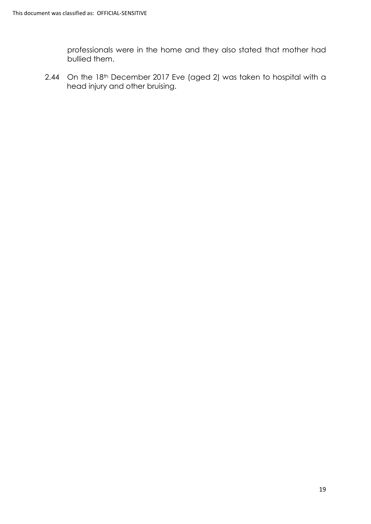professionals were in the home and they also stated that mother had bullied them.

2.44 On the 18th December 2017 Eve (aged 2) was taken to hospital with a head injury and other bruising.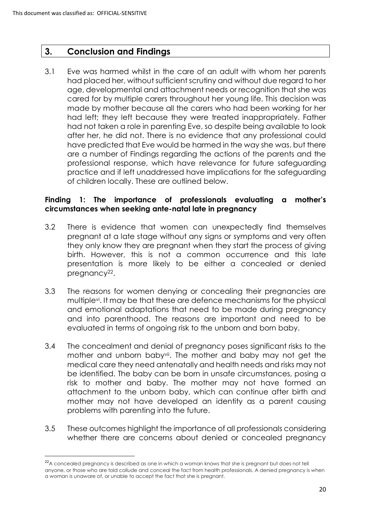**.** 

## **3. Conclusion and Findings**

3.1 Eve was harmed whilst in the care of an adult with whom her parents had placed her, without sufficient scrutiny and without due regard to her age, developmental and attachment needs or recognition that she was cared for by multiple carers throughout her young life. This decision was made by mother because all the carers who had been working for her had left; they left because they were treated inappropriately. Father had not taken a role in parenting Eve, so despite being available to look after her, he did not. There is no evidence that any professional could have predicted that Eve would be harmed in the way she was, but there are a number of Findings regarding the actions of the parents and the professional response, which have relevance for future safeguarding practice and if left unaddressed have implications for the safeguarding of children locally. These are outlined below.

#### **Finding 1: The importance of professionals evaluating a mother's circumstances when seeking ante-natal late in pregnancy**

- 3.2 There is evidence that women can unexpectedly find themselves pregnant at a late stage without any signs or symptoms and very often they only know they are pregnant when they start the process of giving birth. However, this is not a common occurrence and this late presentation is more likely to be either a concealed or denied pregnancy<sup>22</sup>.
- 3.3 The reasons for women denying or concealing their pregnancies are multiplevi. It may be that these are defence mechanisms for the physical and emotional adaptations that need to be made during pregnancy and into parenthood. The reasons are important and need to be evaluated in terms of ongoing risk to the unborn and born baby.
- 3.4 The concealment and denial of pregnancy poses significant risks to the mother and unborn babyvii. The mother and baby may not get the medical care they need antenatally and health needs and risks may not be identified. The baby can be born in unsafe circumstances, posing a risk to mother and baby. The mother may not have formed an attachment to the unborn baby, which can continue after birth and mother may not have developed an identity as a parent causing problems with parenting into the future.
- 3.5 These outcomes highlight the importance of all professionals considering whether there are concerns about denied or concealed pregnancy

<sup>&</sup>lt;sup>22</sup>A concealed pregnancy is described as one in which a woman knows that she is pregnant but does not tell anyone, or those who are told collude and conceal the fact from health professionals. A denied pregnancy is when a woman is unaware of, or unable to accept the fact that she is pregnant.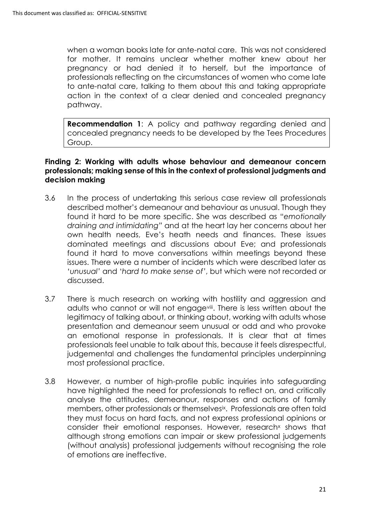when a woman books late for ante-natal care. This was not considered for mother. It remains unclear whether mother knew about her pregnancy or had denied it to herself, but the importance of professionals reflecting on the circumstances of women who come late to ante-natal care, talking to them about this and taking appropriate action in the context of a clear denied and concealed pregnancy pathway.

**Recommendation 1**: A policy and pathway regarding denied and concealed pregnancy needs to be developed by the Tees Procedures Group.

### **Finding 2: Working with adults whose behaviour and demeanour concern professionals; making sense of this in the context of professional judgments and decision making**

- 3.6 In the process of undertaking this serious case review all professionals described mother's demeanour and behaviour as unusual. Though they found it hard to be more specific. She was described as "*emotionally draining and intimidating"* and at the heart lay her concerns about her own health needs, Eve's heath needs and finances. These issues dominated meetings and discussions about Eve; and professionals found it hard to move conversations within meetings beyond these issues. There were a number of incidents which were described later as '*unusual'* and '*hard to make sense of'*, but which were not recorded or discussed.
- 3.7 There is much research on working with hostility and aggression and adults who cannot or will not engagevili. There is less written about the legitimacy of talking about, or thinking about, working with adults whose presentation and demeanour seem unusual or odd and who provoke an emotional response in professionals. It is clear that at times professionals feel unable to talk about this, because it feels disrespectful, judgemental and challenges the fundamental principles underpinning most professional practice.
- 3.8 However, a number of high-profile public inquiries into safeguarding have highlighted the need for professionals to reflect on, and critically analyse the attitudes, demeanour, responses and actions of family members, other professionals or themselvesix. Professionals are often told they must focus on hard facts, and not express professional opinions or consider their emotional responses. However, research<sup>x</sup> shows that although strong emotions can impair or skew professional judgements (without analysis) professional judgements without recognising the role of emotions are ineffective.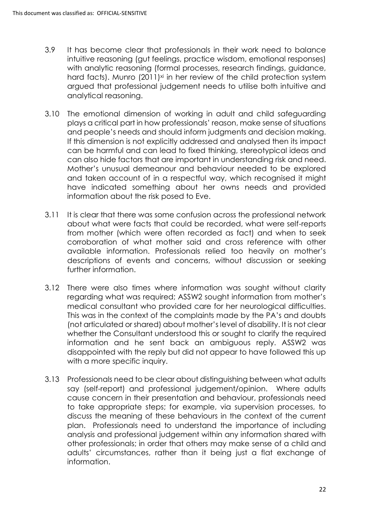- 3.9 It has become clear that professionals in their work need to balance intuitive reasoning (gut feelings, practice wisdom, emotional responses) with analytic reasoning (formal processes, research findings, guidance, hard facts). Munro (2011)<sup>xi</sup> in her review of the child protection system argued that professional judgement needs to utilise both intuitive and analytical reasoning.
- 3.10 The emotional dimension of working in adult and child safeguarding plays a critical part in how professionals' reason, make sense of situations and people's needs and should inform judgments and decision making. If this dimension is not explicitly addressed and analysed then its impact can be harmful and can lead to fixed thinking, stereotypical ideas and can also hide factors that are important in understanding risk and need. Mother's unusual demeanour and behaviour needed to be explored and taken account of in a respectful way, which recognised it might have indicated something about her owns needs and provided information about the risk posed to Eve.
- 3.11 It is clear that there was some confusion across the professional network about what were facts that could be recorded, what were self-reports from mother (which were often recorded as fact) and when to seek corroboration of what mother said and cross reference with other available information. Professionals relied too heavily on mother's descriptions of events and concerns, without discussion or seeking further information.
- 3.12 There were also times where information was sought without clarity regarding what was required; ASSW2 sought information from mother's medical consultant who provided care for her neurological difficulties. This was in the context of the complaints made by the PA's and doubts (not articulated or shared) about mother's level of disability. It is not clear whether the Consultant understood this or sought to clarify the required information and he sent back an ambiguous reply. ASSW2 was disappointed with the reply but did not appear to have followed this up with a more specific inquiry.
- 3.13 Professionals need to be clear about distinguishing between what adults say (self-report) and professional judgement/opinion. Where adults cause concern in their presentation and behaviour, professionals need to take appropriate steps; for example, via supervision processes, to discuss the meaning of these behaviours in the context of the current plan. Professionals need to understand the importance of including analysis and professional judgement within any information shared with other professionals; in order that others may make sense of a child and adults' circumstances, rather than it being just a flat exchange of information.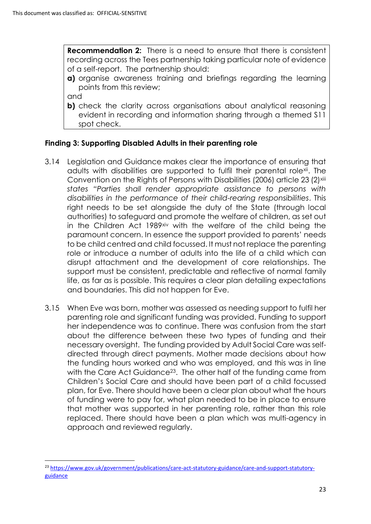**Recommendation 2:** There is a need to ensure that there is consistent recording across the Tees partnership taking particular note of evidence of a self-report. The partnership should:

**a)** organise awareness training and briefings regarding the learning points from this review;

and

1

**b)** check the clarity across organisations about analytical reasoning evident in recording and information sharing through a themed S11 spot check.

### **Finding 3: Supporting Disabled Adults in their parenting role**

- 3.14 Legislation and Guidance makes clear the importance of ensuring that adults with disabilities are supported to fulfil their parental rolexii. The Convention on the Rights of Persons with Disabilities (2006) article 23 (2)<sup>xiii</sup> *states "Parties shall render appropriate assistance to persons with disabilities in the performance of their child-rearing responsibilities*. This right needs to be set alongside the duty of the State (through local authorities) to safeguard and promote the welfare of children, as set out in the Children Act 1989<sup>xiv</sup> with the welfare of the child being the paramount concern. In essence the support provided to parents' needs to be child centred and child focussed. It must not replace the parenting role or introduce a number of adults into the life of a child which can disrupt attachment and the development of core relationships. The support must be consistent, predictable and reflective of normal family life, as far as is possible. This requires a clear plan detailing expectations and boundaries. This did not happen for Eve.
- 3.15 When Eve was born, mother was assessed as needing support to fulfil her parenting role and significant funding was provided. Funding to support her independence was to continue. There was confusion from the start about the difference between these two types of funding and their necessary oversight. The funding provided by Adult Social Care was selfdirected through direct payments. Mother made decisions about how the funding hours worked and who was employed, and this was in line with the Care Act Guidance<sup>23</sup>. The other half of the funding came from Children's Social Care and should have been part of a child focussed plan, for Eve. There should have been a clear plan about what the hours of funding were to pay for, what plan needed to be in place to ensure that mother was supported in her parenting role, rather than this role replaced. There should have been a plan which was multi-agency in approach and reviewed regularly.

<sup>23</sup> [https://www.gov.uk/government/publications/care-act-statutory-guidance/care-and-support-statutory](https://www.gov.uk/government/publications/care-act-statutory-guidance/care-and-support-statutory-guidance)[guidance](https://www.gov.uk/government/publications/care-act-statutory-guidance/care-and-support-statutory-guidance)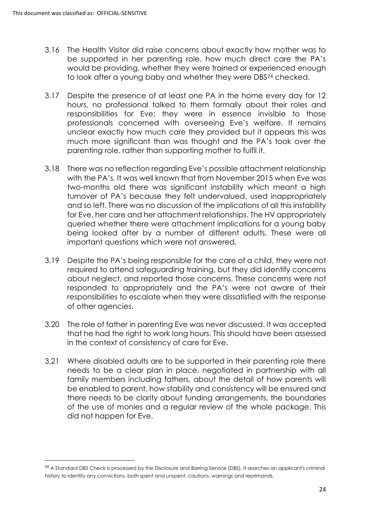1

- 3.16 The Health Visitor did raise concerns about exactly how mother was to be supported in her parenting role, how much direct care the PA's would be providing, whether they were trained or experienced enough to look after a young baby and whether they were DBS<sup>24</sup> checked.
- 3.17 Despite the presence of at least one PA in the home every day for 12 hours, no professional talked to them formally about their roles and responsibilities for Eve; they were in essence invisible to those professionals concerned with overseeing Eve's welfare. It remains unclear exactly how much care they provided but it appears this was much more significant than was thought and the PA's took over the parenting role, rather than supporting mother to fulfil it.
- 3.18 There was no reflection regarding Eve's possible attachment relationship with the PA's. It was well known that from November 2015 when Eve was two-months old there was significant instability which meant a high turnover of PA's because they felt undervalued, used inappropriately and so left. There was no discussion of the implications of all this instability for Eve, her care and her attachment relationships. The HV appropriately queried whether there were attachment implications for a young baby being looked after by a number of different adults. These were all important questions which were not answered.
- 3.19 Despite the PA's being responsible for the care of a child, they were not required to attend safeguarding training, but they did identify concerns about neglect, and reported those concerns. These concerns were not responded to appropriately and the PA's were not aware of their responsibilities to escalate when they were dissatisfied with the response of other agencies.
- 3.20 The role of father in parenting Eve was never discussed. It was accepted that he had the right to work long hours. This should have been assessed in the context of consistency of care for Eve.
- 3.21 Where disabled adults are to be supported in their parenting role there needs to be a clear plan in place, negotiated in partnership with all family members including fathers, about the detail of how parents will be enabled to parent, how stability and consistency will be ensured and there needs to be clarity about funding arrangements, the boundaries of the use of monies and a regular review of the whole package. This did not happen for Eve.

<sup>&</sup>lt;sup>24</sup> A Standard DBS Check is processed by the Disclosure and Barring Service (DBS). It searches an applicant's criminal history to identify any convictions, both spent and unspent, cautions, warnings and reprimands.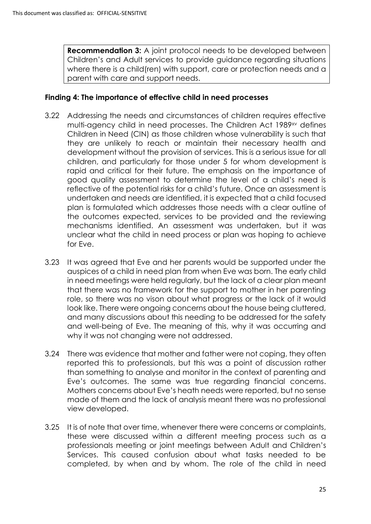**Recommendation 3:** A joint protocol needs to be developed between Children's and Adult services to provide guidance regarding situations where there is a child(ren) with support, care or protection needs and a parent with care and support needs.

#### **Finding 4: The importance of effective child in need processes**

- 3.22 Addressing the needs and circumstances of children requires effective multi-agency child in need processes. The Children Act 1989xv defines Children in Need (CIN) as those children whose vulnerability is such that they are unlikely to reach or maintain their necessary health and development without the provision of services. This is a serious issue for all children, and particularly for those under 5 for whom development is rapid and critical for their future. The emphasis on the importance of good quality assessment to determine the level of a child's need is reflective of the potential risks for a child's future. Once an assessment is undertaken and needs are identified, it is expected that a child focused plan is formulated which addresses those needs with a clear outline of the outcomes expected, services to be provided and the reviewing mechanisms identified. An assessment was undertaken, but it was unclear what the child in need process or plan was hoping to achieve for Eve.
- 3.23 It was agreed that Eve and her parents would be supported under the auspices of a child in need plan from when Eve was born. The early child in need meetings were held regularly, but the lack of a clear plan meant that there was no framework for the support to mother in her parenting role, so there was no vison about what progress or the lack of it would look like. There were ongoing concerns about the house being cluttered, and many discussions about this needing to be addressed for the safety and well-being of Eve. The meaning of this, why it was occurring and why it was not changing were not addressed.
- 3.24 There was evidence that mother and father were not coping, they often reported this to professionals, but this was a point of discussion rather than something to analyse and monitor in the context of parenting and Eve's outcomes. The same was true regarding financial concerns. Mothers concerns about Eve's heath needs were reported, but no sense made of them and the lack of analysis meant there was no professional view developed.
- 3.25 It is of note that over time, whenever there were concerns or complaints, these were discussed within a different meeting process such as a professionals meeting or joint meetings between Adult and Children's Services. This caused confusion about what tasks needed to be completed, by when and by whom. The role of the child in need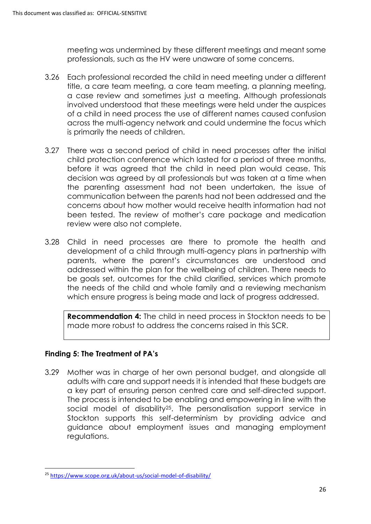meeting was undermined by these different meetings and meant some professionals, such as the HV were unaware of some concerns.

- 3.26 Each professional recorded the child in need meeting under a different title, a care team meeting, a core team meeting, a planning meeting, a case review and sometimes just a meeting. Although professionals involved understood that these meetings were held under the auspices of a child in need process the use of different names caused confusion across the multi-agency network and could undermine the focus which is primarily the needs of children.
- 3.27 There was a second period of child in need processes after the initial child protection conference which lasted for a period of three months, before it was agreed that the child in need plan would cease. This decision was agreed by all professionals but was taken at a time when the parenting assessment had not been undertaken, the issue of communication between the parents had not been addressed and the concerns about how mother would receive health information had not been tested. The review of mother's care package and medication review were also not complete.
- 3.28 Child in need processes are there to promote the health and development of a child through multi-agency plans in partnership with parents, where the parent's circumstances are understood and addressed within the plan for the wellbeing of children. There needs to be goals set, outcomes for the child clarified, services which promote the needs of the child and whole family and a reviewing mechanism which ensure progress is being made and lack of progress addressed.

**Recommendation 4:** The child in need process in Stockton needs to be made more robust to address the concerns raised in this SCR.

### **Finding 5: The Treatment of PA's**

**.** 

3.29 Mother was in charge of her own personal budget, and alongside all adults with care and support needs it is intended that these budgets are a key part of ensuring person centred care and self-directed support. The process is intended to be enabling and empowering in line with the social model of disability<sup>25</sup>. The personalisation support service in Stockton supports this self-determinism by providing advice and guidance about employment issues and managing employment regulations.

<sup>25</sup> <https://www.scope.org.uk/about-us/social-model-of-disability/>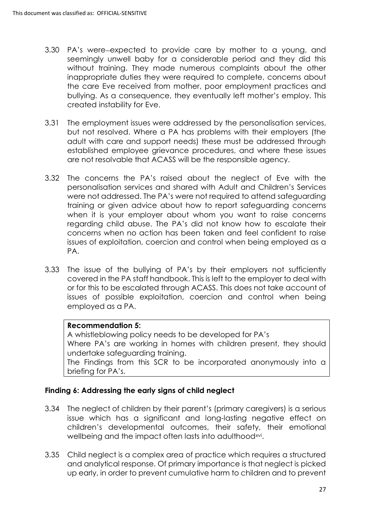- 3.30 PA's were expected to provide care by mother to a young, and seemingly unwell baby for a considerable period and they did this without training. They made numerous complaints about the other inappropriate duties they were required to complete, concerns about the care Eve received from mother, poor employment practices and bullying. As a consequence, they eventually left mother's employ. This created instability for Eve.
- 3.31 The employment issues were addressed by the personalisation services, but not resolved. Where a PA has problems with their employers (the adult with care and support needs) these must be addressed through established employee grievance procedures, and where these issues are not resolvable that ACASS will be the responsible agency.
- 3.32 The concerns the PA's raised about the neglect of Eve with the personalisation services and shared with Adult and Children's Services were not addressed. The PA's were not required to attend safeguarding training or given advice about how to report safeguarding concerns when it is your employer about whom you want to raise concerns regarding child abuse. The PA's did not know how to escalate their concerns when no action has been taken and feel confident to raise issues of exploitation, coercion and control when being employed as a PA.
- 3.33 The issue of the bullying of PA's by their employers not sufficiently covered in the PA staff handbook. This is left to the employer to deal with or for this to be escalated through ACASS. This does not take account of issues of possible exploitation, coercion and control when being employed as a PA.

### **Recommendation 5:**

A whistleblowing policy needs to be developed for PA's Where PA's are working in homes with children present, they should undertake safeguarding training. The Findings from this SCR to be incorporated anonymously into a briefing for PA's.

### **Finding 6: Addressing the early signs of child neglect**

- 3.34 The neglect of children by their parent's (primary caregivers) is a serious issue which has a significant and long-lasting negative effect on children's developmental outcomes, their safety, their emotional wellbeing and the impact often lasts into adulthood<sup>xvi</sup>.
- 3.35 Child neglect is a complex area of practice which requires a structured and analytical response. Of primary importance is that neglect is picked up early, in order to prevent cumulative harm to children and to prevent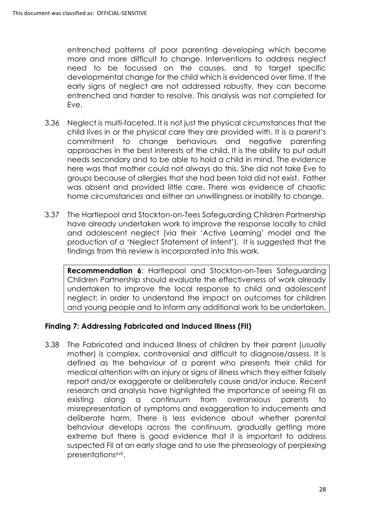entrenched patterns of poor parenting developing which become more and more difficult to change. Interventions to address neglect need to be focussed on the causes, and to target specific developmental change for the child which is evidenced over time. If the early signs of neglect are not addressed robustly, they can become entrenched and harder to resolve. This analysis was not completed for Eve.

- 3.36 Neglect is multi-faceted. It is not just the physical circumstances that the child lives in or the physical care they are provided with. It is a parent's commitment to change behaviours and negative parenting approaches in the best interests of the child. It is the ability to put adult needs secondary and to be able to hold a child in mind. The evidence here was that mother could not always do this. She did not take Eve to groups because of allergies that she had been told did not exist. Father was absent and provided little care. There was evidence of chaotic home circumstances and either an unwillingness or inability to change.
- 3.37 The Hartlepool and Stockton-on-Tees Safeguarding Children Partnership have already undertaken work to improve the response locally to child and adolescent neglect (via their 'Active Learning' model and the production of a 'Neglect Statement of Intent'). It is suggested that the findings from this review is incorporated into this work.

**Recommendation 6**: Hartlepool and Stockton-on-Tees Safeguarding Children Partnership should evaluate the effectiveness of work already undertaken to improve the local response to child and adolescent neglect; in order to understand the impact on outcomes for children and young people and to inform any additional work to be undertaken.

### **Finding 7: Addressing Fabricated and Induced Illness (FII)**

3.38 The Fabricated and Induced Illness of children by their parent (usually mother) is complex, controversial and difficult to diagnose/assess. It is defined as the behaviour of a parent who presents their child for medical attention with an injury or signs of illness which they either falsely report and/or exaggerate or deliberately cause and/or induce. Recent research and analysis have highlighted the importance of seeing FII as existing along a continuum from overanxious parents to misrepresentation of symptoms and exaggeration to inducements and deliberate harm. There is less evidence about whether parental behaviour develops across the continuum, gradually getting more extreme but there is good evidence that it is important to address suspected FII at an early stage and to use the phraseology of perplexing presentations<sup>xvii</sup>.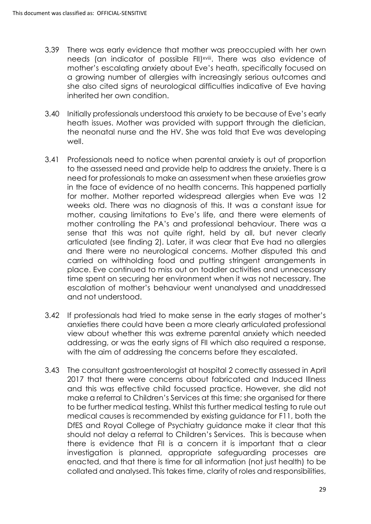- 3.39 There was early evidence that mother was preoccupied with her own needs (an indicator of possible FII)<sup>xviii</sup>. There was also evidence of mother's escalating anxiety about Eve's heath, specifically focused on a growing number of allergies with increasingly serious outcomes and she also cited signs of neurological difficulties indicative of Eve having inherited her own condition.
- 3.40 Initially professionals understood this anxiety to be because of Eve's early heath issues. Mother was provided with support through the dietician, the neonatal nurse and the HV. She was told that Eve was developing well.
- 3.41 Professionals need to notice when parental anxiety is out of proportion to the assessed need and provide help to address the anxiety. There is a need for professionals to make an assessment when these anxieties grow in the face of evidence of no health concerns. This happened partially for mother. Mother reported widespread allergies when Eve was 12 weeks old. There was no diagnosis of this. It was a constant issue for mother, causing limitations to Eve's life, and there were elements of mother controlling the PA's and professional behaviour. There was a sense that this was not quite right, held by all, but never clearly articulated (see finding 2). Later, it was clear that Eve had no allergies and there were no neurological concerns. Mother disputed this and carried on withholding food and putting stringent arrangements in place. Eve continued to miss out on toddler activities and unnecessary time spent on securing her environment when it was not necessary. The escalation of mother's behaviour went unanalysed and unaddressed and not understood.
- 3.42 If professionals had tried to make sense in the early stages of mother's anxieties there could have been a more clearly articulated professional view about whether this was extreme parental anxiety which needed addressing, or was the early signs of FII which also required a response, with the aim of addressing the concerns before they escalated.
- 3.43 The consultant gastroenterologist at hospital 2 correctly assessed in April 2017 that there were concerns about fabricated and Induced Illness and this was effective child focussed practice. However, she did not make a referral to Children's Services at this time; she organised for there to be further medical testing. Whilst this further medical testing to rule out medical causes is recommended by existing guidance for F11, both the DfES and Royal College of Psychiatry guidance make it clear that this should not delay a referral to Children's Services. This is because when there is evidence that FII is a concern it is important that a clear investigation is planned, appropriate safeguarding processes are enacted, and that there is time for all information (not just health) to be collated and analysed. This takes time, clarity of roles and responsibilities,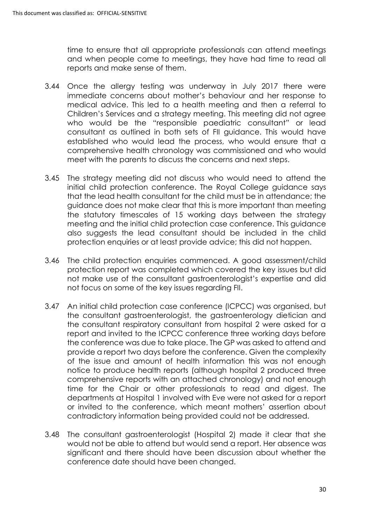time to ensure that all appropriate professionals can attend meetings and when people come to meetings, they have had time to read all reports and make sense of them.

- 3.44 Once the allergy testing was underway in July 2017 there were immediate concerns about mother's behaviour and her response to medical advice. This led to a health meeting and then a referral to Children's Services and a strategy meeting. This meeting did not agree who would be the "responsible paediatric consultant" or lead consultant as outlined in both sets of FII guidance. This would have established who would lead the process, who would ensure that a comprehensive health chronology was commissioned and who would meet with the parents to discuss the concerns and next steps.
- 3.45 The strategy meeting did not discuss who would need to attend the initial child protection conference. The Royal College guidance says that the lead health consultant for the child must be in attendance; the guidance does not make clear that this is more important than meeting the statutory timescales of 15 working days between the strategy meeting and the initial child protection case conference. This guidance also suggests the lead consultant should be included in the child protection enquiries or at least provide advice; this did not happen.
- 3.46 The child protection enquiries commenced. A good assessment/child protection report was completed which covered the key issues but did not make use of the consultant gastroenterologist's expertise and did not focus on some of the key issues regarding FII.
- 3.47 An initial child protection case conference (ICPCC) was organised, but the consultant gastroenterologist, the gastroenterology dietician and the consultant respiratory consultant from hospital 2 were asked for a report and invited to the ICPCC conference three working days before the conference was due to take place. The GP was asked to attend and provide a report two days before the conference. Given the complexity of the issue and amount of health information this was not enough notice to produce health reports (although hospital 2 produced three comprehensive reports with an attached chronology) and not enough time for the Chair or other professionals to read and digest. The departments at Hospital 1 involved with Eve were not asked for a report or invited to the conference, which meant mothers' assertion about contradictory information being provided could not be addressed.
- 3.48 The consultant gastroenterologist (Hospital 2) made it clear that she would not be able to attend but would send a report. Her absence was significant and there should have been discussion about whether the conference date should have been changed.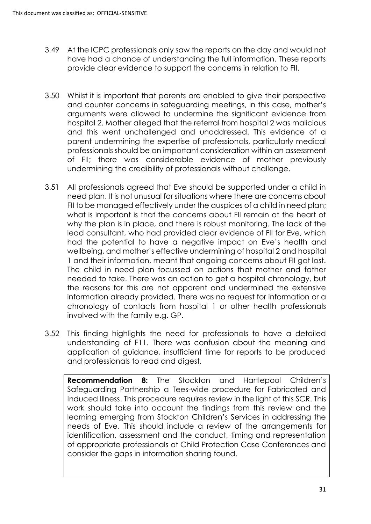- 3.49 At the ICPC professionals only saw the reports on the day and would not have had a chance of understanding the full information. These reports provide clear evidence to support the concerns in relation to FII.
- 3.50 Whilst it is important that parents are enabled to give their perspective and counter concerns in safeguarding meetings, in this case, mother's arguments were allowed to undermine the significant evidence from hospital 2. Mother alleged that the referral from hospital 2 was malicious and this went unchallenged and unaddressed. This evidence of a parent undermining the expertise of professionals, particularly medical professionals should be an important consideration within an assessment of FII; there was considerable evidence of mother previously undermining the credibility of professionals without challenge.
- 3.51 All professionals agreed that Eve should be supported under a child in need plan. It is not unusual for situations where there are concerns about FII to be managed effectively under the auspices of a child in need plan; what is important is that the concerns about FII remain at the heart of why the plan is in place, and there is robust monitoring. The lack of the lead consultant, who had provided clear evidence of FII for Eve, which had the potential to have a negative impact on Eve's health and wellbeing, and mother's effective undermining of hospital 2 and hospital 1 and their information, meant that ongoing concerns about FII got lost. The child in need plan focussed on actions that mother and father needed to take. There was an action to get a hospital chronology, but the reasons for this are not apparent and undermined the extensive information already provided. There was no request for information or a chronology of contacts from hospital 1 or other health professionals involved with the family e.g. GP.
- 3.52 This finding highlights the need for professionals to have a detailed understanding of F11. There was confusion about the meaning and application of guidance, insufficient time for reports to be produced and professionals to read and digest.

**Recommendation 8:** The Stockton and Hartlepool Children's Safeguarding Partnership a Tees-wide procedure for Fabricated and Induced Illness. This procedure requires review in the light of this SCR. This work should take into account the findings from this review and the learning emerging from Stockton Children's Services in addressing the needs of Eve. This should include a review of the arrangements for identification, assessment and the conduct, timing and representation of appropriate professionals at Child Protection Case Conferences and consider the gaps in information sharing found.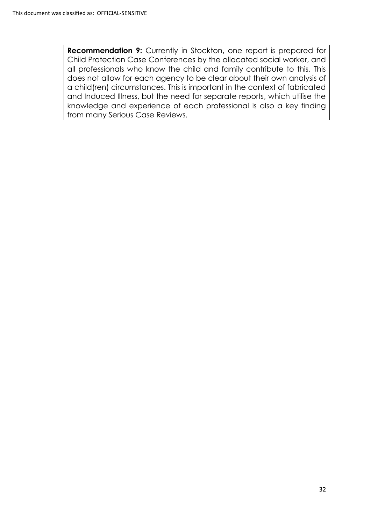**Recommendation 9:** Currently in Stockton, one report is prepared for Child Protection Case Conferences by the allocated social worker, and all professionals who know the child and family contribute to this. This does not allow for each agency to be clear about their own analysis of a child(ren) circumstances. This is important in the context of fabricated and Induced Illness, but the need for separate reports, which utilise the knowledge and experience of each professional is also a key finding from many Serious Case Reviews.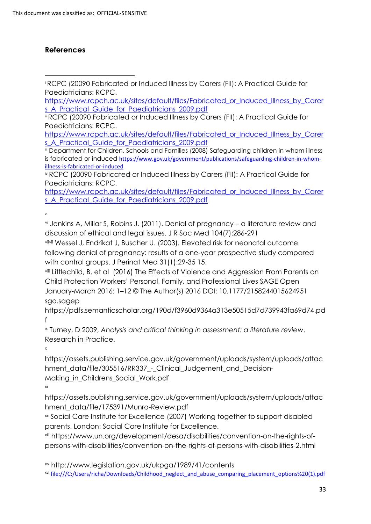## **References**

<sup>i</sup> RCPC (20090 Fabricated or Induced Illness by Carers (FII): A Practical Guide for Paediatricians: RCPC. **.** 

[https://www.rcpch.ac.uk/sites/default/files/Fabricated\\_or\\_Induced\\_Illness\\_by\\_Carer](https://www.rcpch.ac.uk/sites/default/files/Fabricated_or_Induced_Illness_by_Carers_A_Practical_Guide_for_Paediatricians_2009.pdf) s A Practical Guide for Paediatricians 2009.pdf

ii RCPC (20090 Fabricated or Induced Illness by Carers (FII): A Practical Guide for Paediatricians: RCPC.

[https://www.rcpch.ac.uk/sites/default/files/Fabricated\\_or\\_Induced\\_Illness\\_by\\_Carer](https://www.rcpch.ac.uk/sites/default/files/Fabricated_or_Induced_Illness_by_Carers_A_Practical_Guide_for_Paediatricians_2009.pdf) s A Practical Guide for Paediatricians 2009.pdf

iii Department for Children, Schools and Families (2008) [Safeguarding children in whom illness](https://assets.publishing.service.gov.uk/government/uploads/system/uploads/attachment_data/file/277314/Safeguarding_Children_in_whom_illness_is_fabricated_or_induced.pdf)  [is fabricated or induced](https://assets.publishing.service.gov.uk/government/uploads/system/uploads/attachment_data/file/277314/Safeguarding_Children_in_whom_illness_is_fabricated_or_induced.pdf) [https://www.gov.uk/government/publications/safeguarding-children-in-whom](https://www.gov.uk/government/publications/safeguarding-children-in-whom-illness-is-fabricated-or-induced)[illness-is-fabricated-or-induced](https://www.gov.uk/government/publications/safeguarding-children-in-whom-illness-is-fabricated-or-induced)

iv RCPC (20090 Fabricated or Induced Illness by Carers (FII): A Practical Guide for Paediatricians: RCPC.

[https://www.rcpch.ac.uk/sites/default/files/Fabricated\\_or\\_Induced\\_Illness\\_by\\_Carer](https://www.rcpch.ac.uk/sites/default/files/Fabricated_or_Induced_Illness_by_Carers_A_Practical_Guide_for_Paediatricians_2009.pdf) [s\\_A\\_Practical\\_Guide\\_for\\_Paediatricians\\_2009.pdf](https://www.rcpch.ac.uk/sites/default/files/Fabricated_or_Induced_Illness_by_Carers_A_Practical_Guide_for_Paediatricians_2009.pdf)

v

vi Jenkins A, Millar S, Robins J. (2011). Denial of pregnancy – a literature review and discussion of ethical and legal issues. J R Soc Med 104(7):286-291

viivii Wessel J, Endrikat J, Buscher U. (2003). Elevated risk for neonatal outcome following denial of pregnancy: results of a one-year prospective study compared with control groups. J Perinat Med 31(1):29-35 15.

viii Littlechild, B. et al (2016) The Effects of Violence and Aggression From Parents on Child Protection Workers' Personal, Family, and Professional Lives SAGE Open January-March 2016: 1–12 © The Author(s) 2016 DOI: 10.1177/2158244015624951 sgo.sagep

[https://pdfs.semanticscholar.org/190d/f3960d9364a313e50515d7d739943fa69d74.pd](https://pdfs.semanticscholar.org/190d/f3960d9364a313e50515d7d739943fa69d74.pdf) [f](https://pdfs.semanticscholar.org/190d/f3960d9364a313e50515d7d739943fa69d74.pdf)

ix Turney, D 2009, *[Analysis and critical thinking in assessment: a literature review](https://research-information.bristol.ac.uk/en/publications/analysis-and-critical-thinking-in-assessment-a-literature-review(83d7e81f-46ce-49a3-a01b-d3079a4f5cf1).html)*. Research in Practice.

x

[https://assets.publishing.service.gov.uk/government/uploads/system/uploads/attac](https://assets.publishing.service.gov.uk/government/uploads/system/uploads/attachment_data/file/305516/RR337_-_Clinical_Judgement_and_Decision-Making_in_Childrens_Social_Work.pdf) [hment\\_data/file/305516/RR337\\_-\\_Clinical\\_Judgement\\_and\\_Decision-](https://assets.publishing.service.gov.uk/government/uploads/system/uploads/attachment_data/file/305516/RR337_-_Clinical_Judgement_and_Decision-Making_in_Childrens_Social_Work.pdf)[Making\\_in\\_Childrens\\_Social\\_Work.pdf](https://assets.publishing.service.gov.uk/government/uploads/system/uploads/attachment_data/file/305516/RR337_-_Clinical_Judgement_and_Decision-Making_in_Childrens_Social_Work.pdf)

xi

[https://assets.publishing.service.gov.uk/government/uploads/system/uploads/attac](https://assets.publishing.service.gov.uk/government/uploads/system/uploads/attachment_data/file/175391/Munro-Review.pdf) [hment\\_data/file/175391/Munro-Review.pdf](https://assets.publishing.service.gov.uk/government/uploads/system/uploads/attachment_data/file/175391/Munro-Review.pdf)

xii Social Care Institute for Excellence (2007) Working together to support disabled parents. London: Social Care Institute for Excellence.

xiii [https://www.un.org/development/desa/disabilities/convention-on-the-rights-of](https://www.un.org/development/desa/disabilities/convention-on-the-rights-of-persons-with-disabilities/convention-on-the-rights-of-persons-with-disabilities-2.html)[persons-with-disabilities/convention-on-the-rights-of-persons-with-disabilities-2.html](https://www.un.org/development/desa/disabilities/convention-on-the-rights-of-persons-with-disabilities/convention-on-the-rights-of-persons-with-disabilities-2.html)

xv <http://www.legislation.gov.uk/ukpga/1989/41/contents>

xvi [file:///C:/Users/richa/Downloads/Childhood\\_neglect\\_and\\_abuse\\_comparing\\_placement\\_options%20\(1\).pdf](file:///C:/Users/richa/Downloads/Childhood_neglect_and_abuse_comparing_placement_options%20(1).pdf)